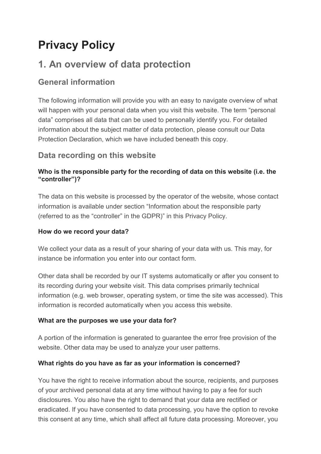# **Privacy Policy**

## **1. An overview of data protection**

#### **General information**

The following information will provide you with an easy to navigate overview of what will happen with your personal data when you visit this website. The term "personal data" comprises all data that can be used to personally identify you. For detailed information about the subject matter of data protection, please consult our Data Protection Declaration, which we have included beneath this copy.

#### **Data recording on this website**

#### **Who is the responsible party for the recording of data on this website (i.e. the "controller")?**

The data on this website is processed by the operator of the website, whose contact information is available under section "Information about the responsible party (referred to as the "controller" in the GDPR)" in this Privacy Policy.

#### **How do we record your data?**

We collect your data as a result of your sharing of your data with us. This may, for instance be information you enter into our contact form.

Other data shall be recorded by our IT systems automatically or after you consent to its recording during your website visit. This data comprises primarily technical information (e.g. web browser, operating system, or time the site was accessed). This information is recorded automatically when you access this website.

#### **What are the purposes we use your data for?**

A portion of the information is generated to guarantee the error free provision of the website. Other data may be used to analyze your user patterns.

#### **What rights do you have as far as your information is concerned?**

You have the right to receive information about the source, recipients, and purposes of your archived personal data at any time without having to pay a fee for such disclosures. You also have the right to demand that your data are rectified or eradicated. If you have consented to data processing, you have the option to revoke this consent at any time, which shall affect all future data processing. Moreover, you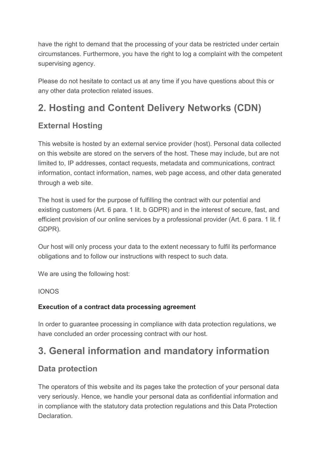have the right to demand that the processing of your data be restricted under certain circumstances. Furthermore, you have the right to log a complaint with the competent supervising agency.

Please do not hesitate to contact us at any time if you have questions about this or any other data protection related issues.

## **2. Hosting and Content Delivery Networks (CDN)**

### **External Hosting**

This website is hosted by an external service provider (host). Personal data collected on this website are stored on the servers of the host. These may include, but are not limited to, IP addresses, contact requests, metadata and communications, contract information, contact information, names, web page access, and other data generated through a web site.

The host is used for the purpose of fulfilling the contract with our potential and existing customers (Art. 6 para. 1 lit. b GDPR) and in the interest of secure, fast, and efficient provision of our online services by a professional provider (Art. 6 para. 1 lit. f GDPR).

Our host will only process your data to the extent necessary to fulfil its performance obligations and to follow our instructions with respect to such data.

We are using the following host:

IONOS

#### **Execution of a contract data processing agreement**

In order to guarantee processing in compliance with data protection regulations, we have concluded an order processing contract with our host.

## **3. General information and mandatory information**

#### **Data protection**

The operators of this website and its pages take the protection of your personal data very seriously. Hence, we handle your personal data as confidential information and in compliance with the statutory data protection regulations and this Data Protection Declaration.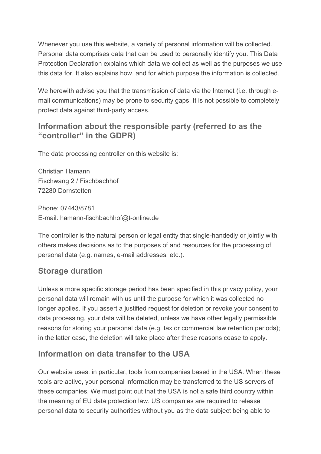Whenever you use this website, a variety of personal information will be collected. Personal data comprises data that can be used to personally identify you. This Data Protection Declaration explains which data we collect as well as the purposes we use this data for. It also explains how, and for which purpose the information is collected.

We herewith advise you that the transmission of data via the Internet (i.e. through email communications) may be prone to security gaps. It is not possible to completely protect data against third-party access.

#### **Information about the responsible party (referred to as the "controller" in the GDPR)**

The data processing controller on this website is:

Christian Hamann Fischwang 2 / Fischbachhof 72280 Dornstetten

Phone: 07443/8781 E-mail: hamann-fischbachhof@t-online.de

The controller is the natural person or legal entity that single-handedly or jointly with others makes decisions as to the purposes of and resources for the processing of personal data (e.g. names, e-mail addresses, etc.).

### **Storage duration**

Unless a more specific storage period has been specified in this privacy policy, your personal data will remain with us until the purpose for which it was collected no longer applies. If you assert a justified request for deletion or revoke your consent to data processing, your data will be deleted, unless we have other legally permissible reasons for storing your personal data (e.g. tax or commercial law retention periods); in the latter case, the deletion will take place after these reasons cease to apply.

### **Information on data transfer to the USA**

Our website uses, in particular, tools from companies based in the USA. When these tools are active, your personal information may be transferred to the US servers of these companies. We must point out that the USA is not a safe third country within the meaning of EU data protection law. US companies are required to release personal data to security authorities without you as the data subject being able to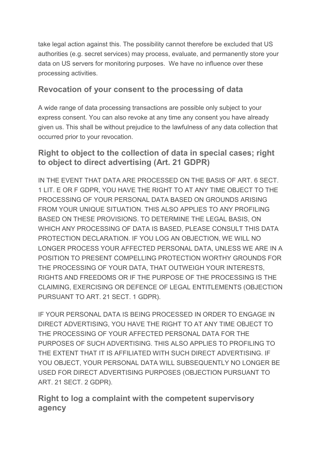take legal action against this. The possibility cannot therefore be excluded that US authorities (e.g. secret services) may process, evaluate, and permanently store your data on US servers for monitoring purposes. We have no influence over these processing activities.

#### **Revocation of your consent to the processing of data**

A wide range of data processing transactions are possible only subject to your express consent. You can also revoke at any time any consent you have already given us. This shall be without prejudice to the lawfulness of any data collection that occurred prior to your revocation.

#### **Right to object to the collection of data in special cases; right to object to direct advertising (Art. 21 GDPR)**

IN THE EVENT THAT DATA ARE PROCESSED ON THE BASIS OF ART. 6 SECT. 1 LIT. E OR F GDPR, YOU HAVE THE RIGHT TO AT ANY TIME OBJECT TO THE PROCESSING OF YOUR PERSONAL DATA BASED ON GROUNDS ARISING FROM YOUR UNIQUE SITUATION. THIS ALSO APPLIES TO ANY PROFILING BASED ON THESE PROVISIONS. TO DETERMINE THE LEGAL BASIS, ON WHICH ANY PROCESSING OF DATA IS BASED, PLEASE CONSULT THIS DATA PROTECTION DECLARATION. IF YOU LOG AN OBJECTION, WE WILL NO LONGER PROCESS YOUR AFFECTED PERSONAL DATA, UNLESS WE ARE IN A POSITION TO PRESENT COMPELLING PROTECTION WORTHY GROUNDS FOR THE PROCESSING OF YOUR DATA, THAT OUTWEIGH YOUR INTERESTS, RIGHTS AND FREEDOMS OR IF THE PURPOSE OF THE PROCESSING IS THE CLAIMING, EXERCISING OR DEFENCE OF LEGAL ENTITLEMENTS (OBJECTION PURSUANT TO ART. 21 SECT. 1 GDPR).

IF YOUR PERSONAL DATA IS BEING PROCESSED IN ORDER TO ENGAGE IN DIRECT ADVERTISING, YOU HAVE THE RIGHT TO AT ANY TIME OBJECT TO THE PROCESSING OF YOUR AFFECTED PERSONAL DATA FOR THE PURPOSES OF SUCH ADVERTISING. THIS ALSO APPLIES TO PROFILING TO THE EXTENT THAT IT IS AFFILIATED WITH SUCH DIRECT ADVERTISING. IF YOU OBJECT, YOUR PERSONAL DATA WILL SUBSEQUENTLY NO LONGER BE USED FOR DIRECT ADVERTISING PURPOSES (OBJECTION PURSUANT TO ART. 21 SECT. 2 GDPR).

#### **Right to log a complaint with the competent supervisory agency**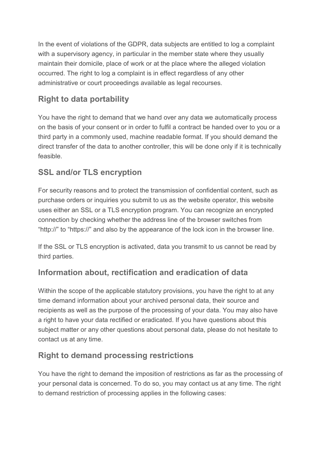In the event of violations of the GDPR, data subjects are entitled to log a complaint with a supervisory agency, in particular in the member state where they usually maintain their domicile, place of work or at the place where the alleged violation occurred. The right to log a complaint is in effect regardless of any other administrative or court proceedings available as legal recourses.

### **Right to data portability**

You have the right to demand that we hand over any data we automatically process on the basis of your consent or in order to fulfil a contract be handed over to you or a third party in a commonly used, machine readable format. If you should demand the direct transfer of the data to another controller, this will be done only if it is technically feasible.

### **SSL and/or TLS encryption**

For security reasons and to protect the transmission of confidential content, such as purchase orders or inquiries you submit to us as the website operator, this website uses either an SSL or a TLS encryption program. You can recognize an encrypted connection by checking whether the address line of the browser switches from "http://" to "https://" and also by the appearance of the lock icon in the browser line.

If the SSL or TLS encryption is activated, data you transmit to us cannot be read by third parties.

### **Information about, rectification and eradication of data**

Within the scope of the applicable statutory provisions, you have the right to at any time demand information about your archived personal data, their source and recipients as well as the purpose of the processing of your data. You may also have a right to have your data rectified or eradicated. If you have questions about this subject matter or any other questions about personal data, please do not hesitate to contact us at any time.

### **Right to demand processing restrictions**

You have the right to demand the imposition of restrictions as far as the processing of your personal data is concerned. To do so, you may contact us at any time. The right to demand restriction of processing applies in the following cases: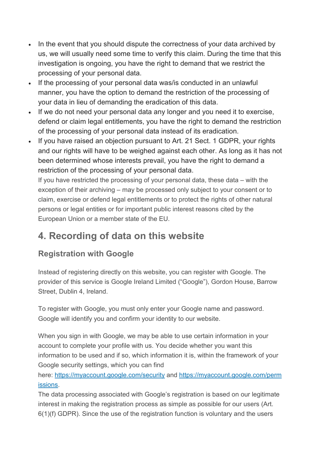- In the event that you should dispute the correctness of your data archived by us, we will usually need some time to verify this claim. During the time that this investigation is ongoing, you have the right to demand that we restrict the processing of your personal data.
- If the processing of your personal data was/is conducted in an unlawful manner, you have the option to demand the restriction of the processing of your data in lieu of demanding the eradication of this data.
- If we do not need your personal data any longer and you need it to exercise, defend or claim legal entitlements, you have the right to demand the restriction of the processing of your personal data instead of its eradication.
- If you have raised an objection pursuant to Art. 21 Sect. 1 GDPR, your rights and our rights will have to be weighed against each other. As long as it has not been determined whose interests prevail, you have the right to demand a restriction of the processing of your personal data.

If you have restricted the processing of your personal data, these data – with the exception of their archiving – may be processed only subject to your consent or to claim, exercise or defend legal entitlements or to protect the rights of other natural persons or legal entities or for important public interest reasons cited by the European Union or a member state of the EU.

## **4. Recording of data on this website**

### **Registration with Google**

Instead of registering directly on this website, you can register with Google. The provider of this service is Google Ireland Limited ("Google"), Gordon House, Barrow Street, Dublin 4, Ireland.

To register with Google, you must only enter your Google name and password. Google will identify you and confirm your identity to our website.

When you sign in with Google, we may be able to use certain information in your account to complete your profile with us. You decide whether you want this information to be used and if so, which information it is, within the framework of your Google security settings, which you can find

here: <https://myaccount.google.com/security> and [https://myaccount.google.com/perm](https://myaccount.google.com/permissions) [issions.](https://myaccount.google.com/permissions)

The data processing associated with Google's registration is based on our legitimate interest in making the registration process as simple as possible for our users (Art. 6(1)(f) GDPR). Since the use of the registration function is voluntary and the users